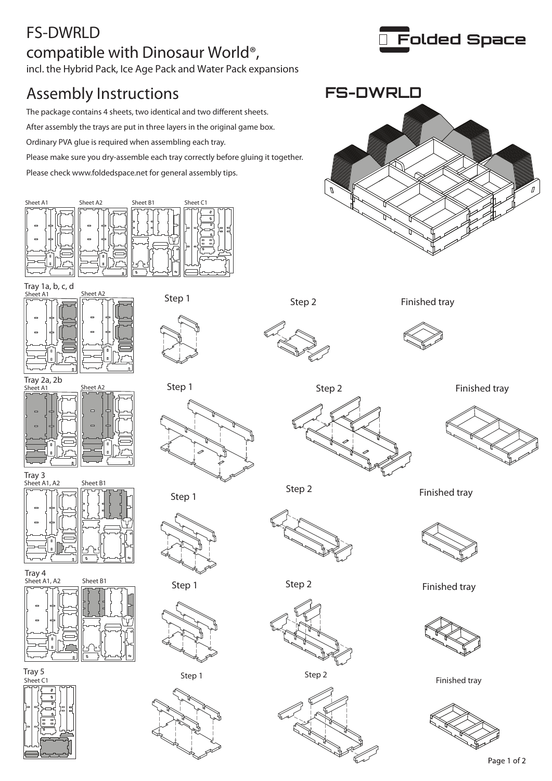## FS-DWRLD compatible with Dinosaur World®, incl. the Hybrid Pack, Ice Age Pack and Water Pack expansions

## Assembly Instructions

The package contains 4 sheets, two identical and two different sheets.

After assembly the trays are put in three layers in the original game box.

Ordinary PVA glue is required when assembling each tray.

Please make sure you dry-assemble each tray correctly before gluing it together.

Please check www.foldedspace.net for general assembly tips.























Step 2